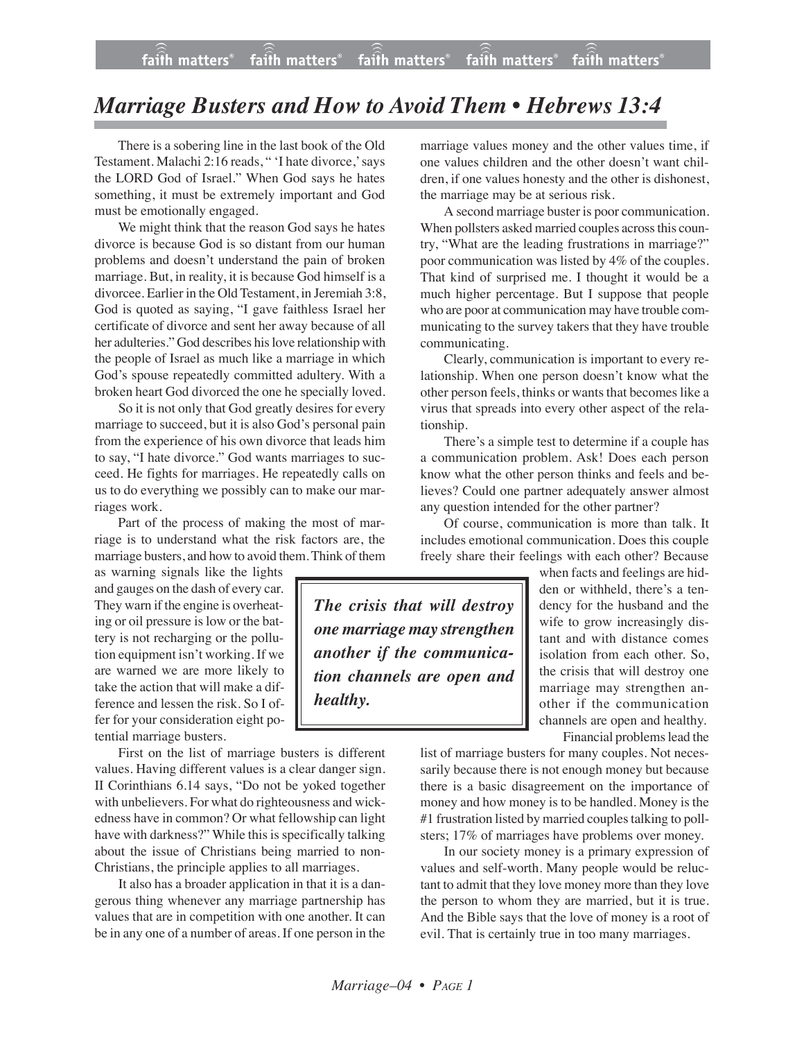## *Marriage Busters and How to Avoid Them • Hebrews 13:4*

There is a sobering line in the last book of the Old Testament. Malachi 2:16 reads, " 'I hate divorce,' says the LORD God of Israel." When God says he hates something, it must be extremely important and God must be emotionally engaged.

We might think that the reason God says he hates divorce is because God is so distant from our human problems and doesn't understand the pain of broken marriage. But, in reality, it is because God himself is a divorcee. Earlier in the Old Testament, in Jeremiah 3:8, God is quoted as saying, "I gave faithless Israel her certificate of divorce and sent her away because of all her adulteries." God describes hislove relationship with the people of Israel as much like a marriage in which God's spouse repeatedly committed adultery. With a broken heart God divorced the one he specially loved.

So it is not only that God greatly desires for every marriage to succeed, but it is also God's personal pain from the experience of his own divorce that leads him to say, "I hate divorce." God wants marriages to succeed. He fights for marriages. He repeatedly calls on us to do everything we possibly can to make our marriages work.

Part of the process of making the most of marriage is to understand what the risk factors are, the marriage busters, and how to avoid them. Think of them

as warning signals like the lights and gauges on the dash of every car. They warn if the engine is overheating or oil pressure is low or the battery is not recharging or the pollution equipment isn't working. If we are warned we are more likely to take the action that will make a difference and lessen the risk. So I offer for your consideration eight potential marriage busters.

First on the list of marriage busters is different values. Having different values is a clear danger sign. II Corinthians 6.14 says, "Do not be yoked together with unbelievers. For what do righteousness and wickedness have in common? Or what fellowship can light have with darkness?" While this is specifically talking about the issue of Christians being married to non-Christians, the principle applies to all marriages.

It also has a broader application in that it is a dangerous thing whenever any marriage partnership has values that are in competition with one another. It can be in any one of a number of areas. If one person in the marriage values money and the other values time, if one values children and the other doesn't want children, if one values honesty and the other is dishonest, the marriage may be at serious risk.

A second marriage buster is poor communication. When pollsters asked married couples across this country, "What are the leading frustrations in marriage?" poor communication was listed by 4% of the couples. That kind of surprised me. I thought it would be a much higher percentage. But I suppose that people who are poor at communication may have trouble communicating to the survey takers that they have trouble communicating.

Clearly, communication is important to every relationship. When one person doesn't know what the other person feels, thinks or wants that becomes like a virus that spreads into every other aspect of the relationship.

There's a simple test to determine if a couple has a communication problem. Ask! Does each person know what the other person thinks and feels and believes? Could one partner adequately answer almost any question intended for the other partner?

Of course, communication is more than talk. It includes emotional communication. Does this couple freely share their feelings with each other? Because

*The crisis that will destroy one marriage may strengthen another if the communication channels are open and healthy.*

when facts and feelings are hidden or withheld, there's a tendency for the husband and the wife to grow increasingly distant and with distance comes isolation from each other. So, the crisis that will destroy one marriage may strengthen another if the communication channels are open and healthy. Financial problems lead the

list of marriage busters for many couples. Not necessarily because there is not enough money but because there is a basic disagreement on the importance of money and how money is to be handled. Money is the #1 frustration listed by married couples talking to pollsters; 17% of marriages have problems over money.

In our society money is a primary expression of values and self-worth. Many people would be reluctant to admit that they love money more than they love the person to whom they are married, but it is true. And the Bible says that the love of money is a root of evil. That is certainly true in too many marriages.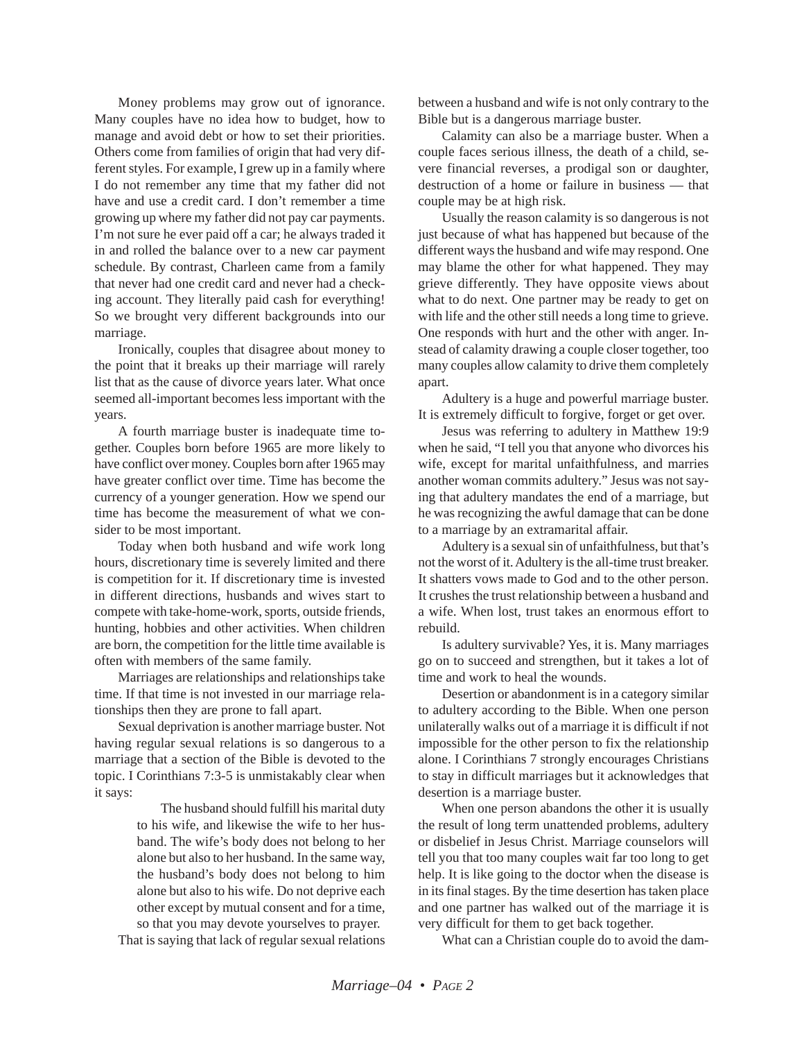Money problems may grow out of ignorance. Many couples have no idea how to budget, how to manage and avoid debt or how to set their priorities. Others come from families of origin that had very different styles. For example, I grew up in a family where I do not remember any time that my father did not have and use a credit card. I don't remember a time growing up where my father did not pay car payments. I'm not sure he ever paid off a car; he always traded it in and rolled the balance over to a new car payment schedule. By contrast, Charleen came from a family that never had one credit card and never had a checking account. They literally paid cash for everything! So we brought very different backgrounds into our marriage.

Ironically, couples that disagree about money to the point that it breaks up their marriage will rarely list that as the cause of divorce years later. What once seemed all-important becomes less important with the years.

A fourth marriage buster is inadequate time together. Couples born before 1965 are more likely to have conflict over money. Couples born after 1965 may have greater conflict over time. Time has become the currency of a younger generation. How we spend our time has become the measurement of what we consider to be most important.

Today when both husband and wife work long hours, discretionary time is severely limited and there is competition for it. If discretionary time is invested in different directions, husbands and wives start to compete with take-home-work, sports, outside friends, hunting, hobbies and other activities. When children are born, the competition for the little time available is often with members of the same family.

Marriages are relationships and relationships take time. If that time is not invested in our marriage relationships then they are prone to fall apart.

Sexual deprivation is another marriage buster. Not having regular sexual relations is so dangerous to a marriage that a section of the Bible is devoted to the topic. I Corinthians 7:3-5 is unmistakably clear when it says:

> The husband should fulfill his marital duty to his wife, and likewise the wife to her husband. The wife's body does not belong to her alone but also to her husband. In the same way, the husband's body does not belong to him alone but also to his wife. Do not deprive each other except by mutual consent and for a time, so that you may devote yourselves to prayer.

That is saying that lack of regular sexual relations

between a husband and wife is not only contrary to the Bible but is a dangerous marriage buster.

Calamity can also be a marriage buster. When a couple faces serious illness, the death of a child, severe financial reverses, a prodigal son or daughter, destruction of a home or failure in business — that couple may be at high risk.

Usually the reason calamity is so dangerous is not just because of what has happened but because of the different ways the husband and wife may respond. One may blame the other for what happened. They may grieve differently. They have opposite views about what to do next. One partner may be ready to get on with life and the other still needs a long time to grieve. One responds with hurt and the other with anger. Instead of calamity drawing a couple closer together, too many couples allow calamity to drive them completely apart.

Adultery is a huge and powerful marriage buster. It is extremely difficult to forgive, forget or get over.

Jesus was referring to adultery in Matthew 19:9 when he said, "I tell you that anyone who divorces his wife, except for marital unfaithfulness, and marries another woman commits adultery." Jesus was not saying that adultery mandates the end of a marriage, but he was recognizing the awful damage that can be done to a marriage by an extramarital affair.

Adultery is a sexual sin of unfaithfulness, but that's not the worst of it. Adultery is the all-time trust breaker. It shatters vows made to God and to the other person. It crushes the trust relationship between a husband and a wife. When lost, trust takes an enormous effort to rebuild.

Is adultery survivable? Yes, it is. Many marriages go on to succeed and strengthen, but it takes a lot of time and work to heal the wounds.

Desertion or abandonment is in a category similar to adultery according to the Bible. When one person unilaterally walks out of a marriage it is difficult if not impossible for the other person to fix the relationship alone. I Corinthians 7 strongly encourages Christians to stay in difficult marriages but it acknowledges that desertion is a marriage buster.

When one person abandons the other it is usually the result of long term unattended problems, adultery or disbelief in Jesus Christ. Marriage counselors will tell you that too many couples wait far too long to get help. It is like going to the doctor when the disease is in its final stages. By the time desertion has taken place and one partner has walked out of the marriage it is very difficult for them to get back together.

What can a Christian couple do to avoid the dam-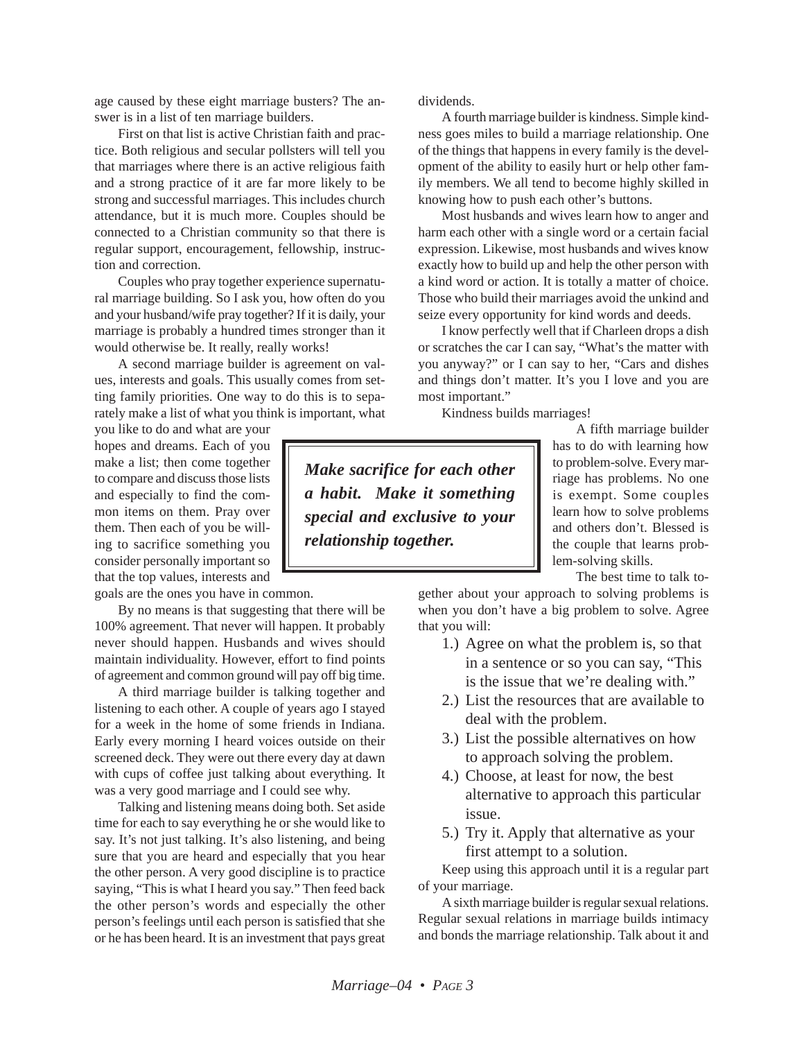age caused by these eight marriage busters? The answer is in a list of ten marriage builders.

First on that list is active Christian faith and practice. Both religious and secular pollsters will tell you that marriages where there is an active religious faith and a strong practice of it are far more likely to be strong and successful marriages. This includes church attendance, but it is much more. Couples should be connected to a Christian community so that there is regular support, encouragement, fellowship, instruction and correction.

Couples who pray together experience supernatural marriage building. So I ask you, how often do you and your husband/wife pray together? If it is daily, your marriage is probably a hundred times stronger than it would otherwise be. It really, really works!

A second marriage builder is agreement on values, interests and goals. This usually comes from setting family priorities. One way to do this is to separately make a list of what you think is important, what

you like to do and what are your hopes and dreams. Each of you make a list; then come together to compare and discuss those lists and especially to find the common items on them. Pray over them. Then each of you be willing to sacrifice something you consider personally important so that the top values, interests and

goals are the ones you have in common.

By no means is that suggesting that there will be 100% agreement. That never will happen. It probably never should happen. Husbands and wives should maintain individuality. However, effort to find points of agreement and common ground will pay off big time.

A third marriage builder is talking together and listening to each other. A couple of years ago I stayed for a week in the home of some friends in Indiana. Early every morning I heard voices outside on their screened deck. They were out there every day at dawn with cups of coffee just talking about everything. It was a very good marriage and I could see why.

Talking and listening means doing both. Set aside time for each to say everything he or she would like to say. It's not just talking. It's also listening, and being sure that you are heard and especially that you hear the other person. A very good discipline is to practice saying, "This is what I heard you say." Then feed back the other person's words and especially the other person's feelings until each person is satisfied that she or he has been heard. It is an investment that pays great dividends.

A fourth marriage builder is kindness. Simple kindness goes miles to build a marriage relationship. One of the things that happens in every family is the development of the ability to easily hurt or help other family members. We all tend to become highly skilled in knowing how to push each other's buttons.

Most husbands and wives learn how to anger and harm each other with a single word or a certain facial expression. Likewise, most husbands and wives know exactly how to build up and help the other person with a kind word or action. It is totally a matter of choice. Those who build their marriages avoid the unkind and seize every opportunity for kind words and deeds.

I know perfectly well that if Charleen drops a dish or scratches the car I can say, "What's the matter with you anyway?" or I can say to her, "Cars and dishes and things don't matter. It's you I love and you are most important."

Kindness builds marriages!

*Make sacrifice for each other a habit. Make it something special and exclusive to your relationship together.*

A fifth marriage builder has to do with learning how to problem-solve. Every marriage has problems. No one is exempt. Some couples learn how to solve problems and others don't. Blessed is the couple that learns problem-solving skills.

The best time to talk to-

gether about your approach to solving problems is when you don't have a big problem to solve. Agree that you will:

- 1.) Agree on what the problem is, so that in a sentence or so you can say, "This is the issue that we're dealing with."
- 2.) List the resources that are available to deal with the problem.
- 3.) List the possible alternatives on how to approach solving the problem.
- 4.) Choose, at least for now, the best alternative to approach this particular issue.
- 5.) Try it. Apply that alternative as your first attempt to a solution.

Keep using this approach until it is a regular part of your marriage.

A sixth marriage builder is regular sexual relations. Regular sexual relations in marriage builds intimacy and bonds the marriage relationship. Talk about it and